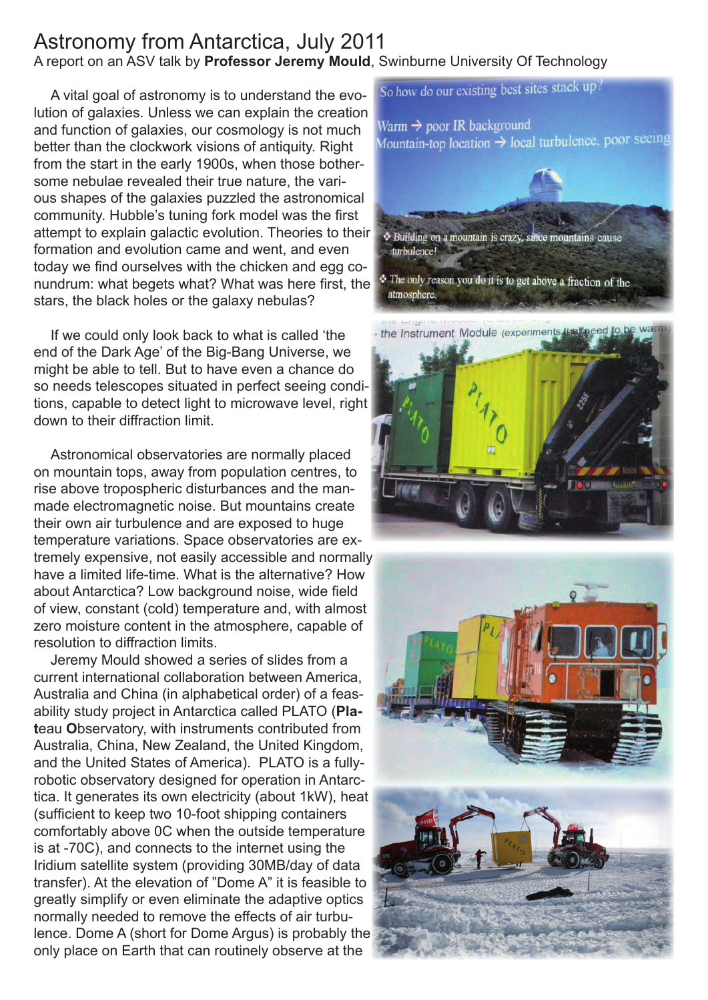## Astronomy from Antarctica, July 2011 A report on an ASV talk by **Professor Jeremy Mould**, Swinburne University Of Technology

A vital goal of astronomy is to understand the evolution of galaxies. Unless we can explain the creation and function of galaxies, our cosmology is not much better than the clockwork visions of antiquity. Right from the start in the early 1900s, when those bothersome nebulae revealed their true nature, the various shapes of the galaxies puzzled the astronomical community. Hubble's tuning fork model was the first attempt to explain galactic evolution. Theories to their formation and evolution came and went, and even today we find ourselves with the chicken and egg conundrum: what begets what? What was here first, the stars, the black holes or the galaxy nebulas?

If we could only look back to what is called 'the end of the Dark Age' of the Big-Bang Universe, we might be able to tell. But to have even a chance do so needs telescopes situated in perfect seeing conditions, capable to detect light to microwave level, right down to their diffraction limit.

Astronomical observatories are normally placed on mountain tops, away from population centres, to rise above tropospheric disturbances and the manmade electromagnetic noise. But mountains create their own air turbulence and are exposed to huge temperature variations. Space observatories are extremely expensive, not easily accessible and normally have a limited life-time. What is the alternative? How about Antarctica? Low background noise, wide field of view, constant (cold) temperature and, with almost zero moisture content in the atmosphere, capable of resolution to diffraction limits.

Jeremy Mould showed a series of slides from a current international collaboration between America, Australia and China (in alphabetical order) of a feasability study project in Antarctica called PLATO (**Plat**eau **O**bservatory, with instruments contributed from Australia, China, New Zealand, the United Kingdom, and the United States of America). PLATO is a fullyrobotic observatory designed for operation in Antarctica. It generates its own electricity (about 1kW), heat (sufficient to keep two 10-foot shipping containers comfortably above 0C when the outside temperature is at -70C), and connects to the internet using the Iridium satellite system (providing 30MB/day of data transfer). At the elevation of "Dome A" it is feasible to greatly simplify or even eliminate the adaptive optics normally needed to remove the effects of air turbulence. Dome A (short for Dome Argus) is probably the only place on Earth that can routinely observe at the



So how do our existing best sites stack up?

the Instrument Module (experiments that need to be warn